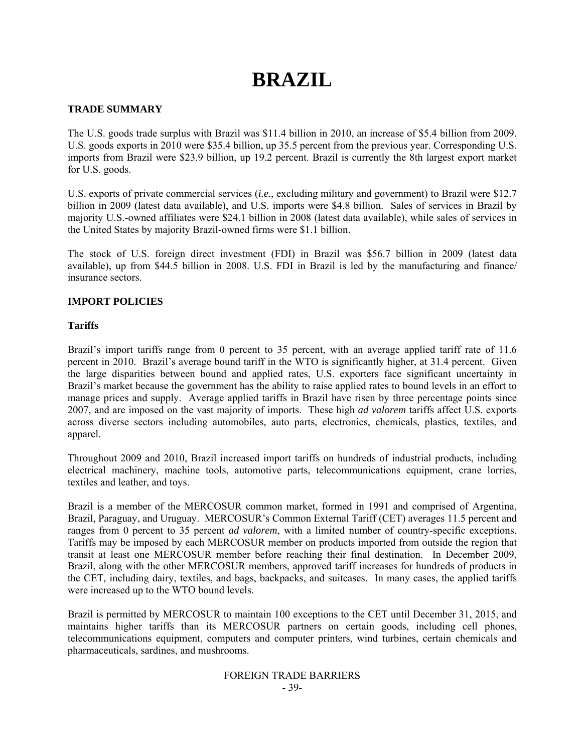# **BRAZIL**

# **TRADE SUMMARY**

The U.S. goods trade surplus with Brazil was \$11.4 billion in 2010, an increase of \$5.4 billion from 2009. U.S. goods exports in 2010 were \$35.4 billion, up 35.5 percent from the previous year. Corresponding U.S. imports from Brazil were \$23.9 billion, up 19.2 percent. Brazil is currently the 8th largest export market for U.S. goods.

U.S. exports of private commercial services (*i.e.*, excluding military and government) to Brazil were \$12.7 billion in 2009 (latest data available), and U.S. imports were \$4.8 billion. Sales of services in Brazil by majority U.S.-owned affiliates were \$24.1 billion in 2008 (latest data available), while sales of services in the United States by majority Brazil-owned firms were \$1.1 billion.

The stock of U.S. foreign direct investment (FDI) in Brazil was \$56.7 billion in 2009 (latest data available), up from \$44.5 billion in 2008. U.S. FDI in Brazil is led by the manufacturing and finance/ insurance sectors.

# **IMPORT POLICIES**

# **Tariffs**

Brazil's import tariffs range from 0 percent to 35 percent, with an average applied tariff rate of 11.6 percent in 2010. Brazil's average bound tariff in the WTO is significantly higher, at 31.4 percent. Given the large disparities between bound and applied rates, U.S. exporters face significant uncertainty in Brazil's market because the government has the ability to raise applied rates to bound levels in an effort to manage prices and supply. Average applied tariffs in Brazil have risen by three percentage points since 2007, and are imposed on the vast majority of imports. These high *ad valorem* tariffs affect U.S. exports across diverse sectors including automobiles, auto parts, electronics, chemicals, plastics, textiles, and apparel.

Throughout 2009 and 2010, Brazil increased import tariffs on hundreds of industrial products, including electrical machinery, machine tools, automotive parts, telecommunications equipment, crane lorries, textiles and leather, and toys.

Brazil is a member of the MERCOSUR common market, formed in 1991 and comprised of Argentina, Brazil, Paraguay, and Uruguay. MERCOSUR's Common External Tariff (CET) averages 11.5 percent and ranges from 0 percent to 35 percent *ad valorem*, with a limited number of country-specific exceptions. Tariffs may be imposed by each MERCOSUR member on products imported from outside the region that transit at least one MERCOSUR member before reaching their final destination. In December 2009, Brazil, along with the other MERCOSUR members, approved tariff increases for hundreds of products in the CET, including dairy, textiles, and bags, backpacks, and suitcases. In many cases, the applied tariffs were increased up to the WTO bound levels.

Brazil is permitted by MERCOSUR to maintain 100 exceptions to the CET until December 31, 2015, and maintains higher tariffs than its MERCOSUR partners on certain goods, including cell phones, telecommunications equipment, computers and computer printers, wind turbines, certain chemicals and pharmaceuticals, sardines, and mushrooms.

#### FOREIGN TRADE BARRIERS - 39-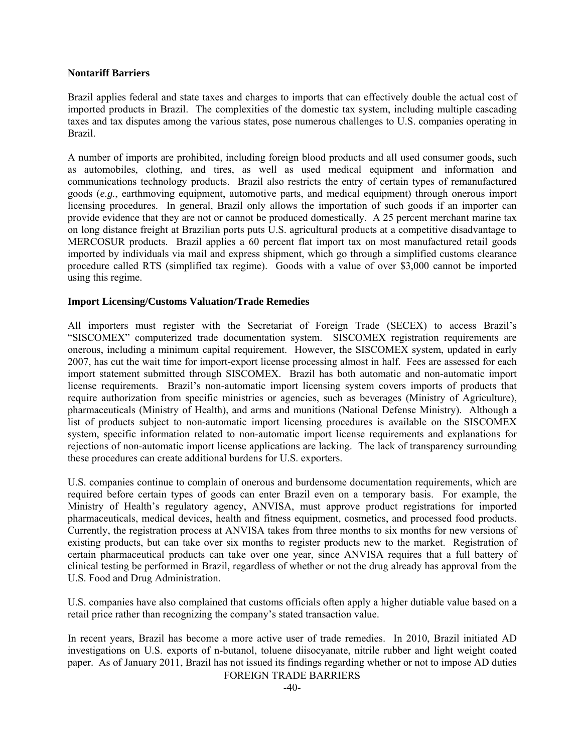## **Nontariff Barriers**

Brazil applies federal and state taxes and charges to imports that can effectively double the actual cost of imported products in Brazil. The complexities of the domestic tax system, including multiple cascading taxes and tax disputes among the various states, pose numerous challenges to U.S. companies operating in Brazil.

A number of imports are prohibited, including foreign blood products and all used consumer goods, such as automobiles, clothing, and tires, as well as used medical equipment and information and communications technology products. Brazil also restricts the entry of certain types of remanufactured goods (*e.g.*, earthmoving equipment, automotive parts, and medical equipment) through onerous import licensing procedures. In general, Brazil only allows the importation of such goods if an importer can provide evidence that they are not or cannot be produced domestically. A 25 percent merchant marine tax on long distance freight at Brazilian ports puts U.S. agricultural products at a competitive disadvantage to MERCOSUR products. Brazil applies a 60 percent flat import tax on most manufactured retail goods imported by individuals via mail and express shipment, which go through a simplified customs clearance procedure called RTS (simplified tax regime). Goods with a value of over \$3,000 cannot be imported using this regime.

#### **Import Licensing/Customs Valuation/Trade Remedies**

All importers must register with the Secretariat of Foreign Trade (SECEX) to access Brazil's "SISCOMEX" computerized trade documentation system. SISCOMEX registration requirements are onerous, including a minimum capital requirement. However, the SISCOMEX system, updated in early 2007, has cut the wait time for import-export license processing almost in half. Fees are assessed for each import statement submitted through SISCOMEX. Brazil has both automatic and non-automatic import license requirements. Brazil's non-automatic import licensing system covers imports of products that require authorization from specific ministries or agencies, such as beverages (Ministry of Agriculture), pharmaceuticals (Ministry of Health), and arms and munitions (National Defense Ministry). Although a list of products subject to non-automatic import licensing procedures is available on the SISCOMEX system, specific information related to non-automatic import license requirements and explanations for rejections of non-automatic import license applications are lacking. The lack of transparency surrounding these procedures can create additional burdens for U.S. exporters.

U.S. companies continue to complain of onerous and burdensome documentation requirements, which are required before certain types of goods can enter Brazil even on a temporary basis. For example, the Ministry of Health's regulatory agency, ANVISA, must approve product registrations for imported pharmaceuticals, medical devices, health and fitness equipment, cosmetics, and processed food products. Currently, the registration process at ANVISA takes from three months to six months for new versions of existing products, but can take over six months to register products new to the market. Registration of certain pharmaceutical products can take over one year, since ANVISA requires that a full battery of clinical testing be performed in Brazil, regardless of whether or not the drug already has approval from the U.S. Food and Drug Administration.

U.S. companies have also complained that customs officials often apply a higher dutiable value based on a retail price rather than recognizing the company's stated transaction value.

In recent years, Brazil has become a more active user of trade remedies. In 2010, Brazil initiated AD investigations on U.S. exports of n-butanol, toluene diisocyanate, nitrile rubber and light weight coated paper. As of January 2011, Brazil has not issued its findings regarding whether or not to impose AD duties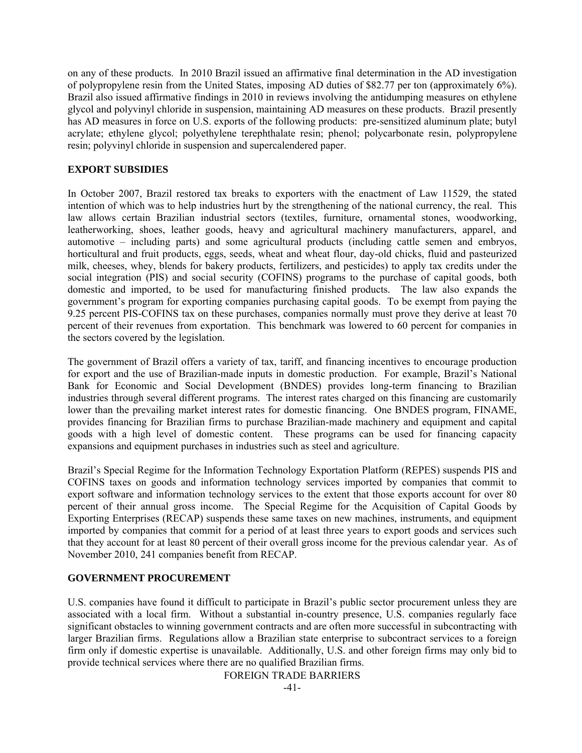on any of these products. In 2010 Brazil issued an affirmative final determination in the AD investigation of polypropylene resin from the United States, imposing AD duties of \$82.77 per ton (approximately 6%). Brazil also issued affirmative findings in 2010 in reviews involving the antidumping measures on ethylene glycol and polyvinyl chloride in suspension, maintaining AD measures on these products. Brazil presently has AD measures in force on U.S. exports of the following products: pre-sensitized aluminum plate; butyl acrylate; ethylene glycol; polyethylene terephthalate resin; phenol; polycarbonate resin, polypropylene resin; polyvinyl chloride in suspension and supercalendered paper.

## **EXPORT SUBSIDIES**

In October 2007, Brazil restored tax breaks to exporters with the enactment of Law 11529, the stated intention of which was to help industries hurt by the strengthening of the national currency, the real. This law allows certain Brazilian industrial sectors (textiles, furniture, ornamental stones, woodworking, leatherworking, shoes, leather goods, heavy and agricultural machinery manufacturers, apparel, and automotive – including parts) and some agricultural products (including cattle semen and embryos, horticultural and fruit products, eggs, seeds, wheat and wheat flour, day-old chicks, fluid and pasteurized milk, cheeses, whey, blends for bakery products, fertilizers, and pesticides) to apply tax credits under the social integration (PIS) and social security (COFINS) programs to the purchase of capital goods, both domestic and imported, to be used for manufacturing finished products. The law also expands the government's program for exporting companies purchasing capital goods. To be exempt from paying the 9.25 percent PIS-COFINS tax on these purchases, companies normally must prove they derive at least 70 percent of their revenues from exportation. This benchmark was lowered to 60 percent for companies in the sectors covered by the legislation.

The government of Brazil offers a variety of tax, tariff, and financing incentives to encourage production for export and the use of Brazilian-made inputs in domestic production. For example, Brazil's National Bank for Economic and Social Development (BNDES) provides long-term financing to Brazilian industries through several different programs. The interest rates charged on this financing are customarily lower than the prevailing market interest rates for domestic financing. One BNDES program, FINAME, provides financing for Brazilian firms to purchase Brazilian-made machinery and equipment and capital goods with a high level of domestic content. These programs can be used for financing capacity expansions and equipment purchases in industries such as steel and agriculture.

Brazil's Special Regime for the Information Technology Exportation Platform (REPES) suspends PIS and COFINS taxes on goods and information technology services imported by companies that commit to export software and information technology services to the extent that those exports account for over 80 percent of their annual gross income. The Special Regime for the Acquisition of Capital Goods by Exporting Enterprises (RECAP) suspends these same taxes on new machines, instruments, and equipment imported by companies that commit for a period of at least three years to export goods and services such that they account for at least 80 percent of their overall gross income for the previous calendar year.As of November 2010, 241 companies benefit from RECAP.

## **GOVERNMENT PROCUREMENT**

U.S. companies have found it difficult to participate in Brazil's public sector procurement unless they are associated with a local firm. Without a substantial in-country presence, U.S. companies regularly face significant obstacles to winning government contracts and are often more successful in subcontracting with larger Brazilian firms. Regulations allow a Brazilian state enterprise to subcontract services to a foreign firm only if domestic expertise is unavailable. Additionally, U.S. and other foreign firms may only bid to provide technical services where there are no qualified Brazilian firms.

FOREIGN TRADE BARRIERS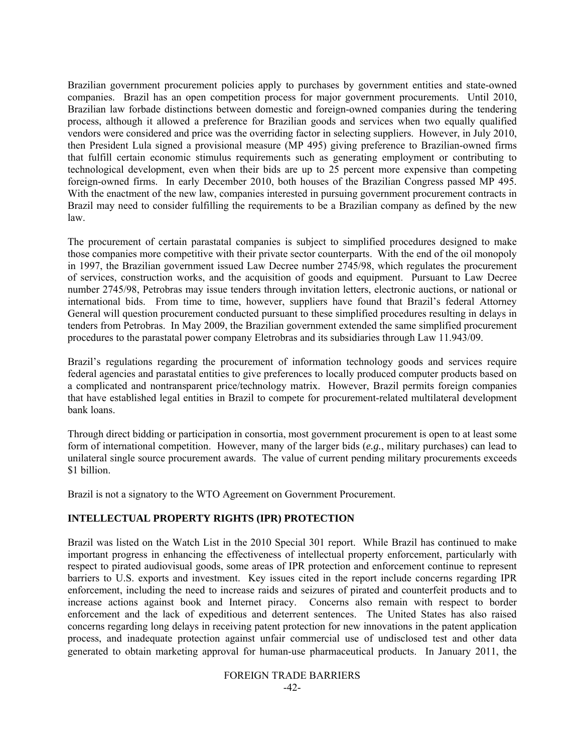Brazilian government procurement policies apply to purchases by government entities and state-owned companies. Brazil has an open competition process for major government procurements. Until 2010, Brazilian law forbade distinctions between domestic and foreign-owned companies during the tendering process, although it allowed a preference for Brazilian goods and services when two equally qualified vendors were considered and price was the overriding factor in selecting suppliers. However, in July 2010, then President Lula signed a provisional measure (MP 495) giving preference to Brazilian-owned firms that fulfill certain economic stimulus requirements such as generating employment or contributing to technological development, even when their bids are up to 25 percent more expensive than competing foreign-owned firms. In early December 2010, both houses of the Brazilian Congress passed MP 495. With the enactment of the new law, companies interested in pursuing government procurement contracts in Brazil may need to consider fulfilling the requirements to be a Brazilian company as defined by the new law.

The procurement of certain parastatal companies is subject to simplified procedures designed to make those companies more competitive with their private sector counterparts. With the end of the oil monopoly in 1997, the Brazilian government issued Law Decree number 2745/98, which regulates the procurement of services, construction works, and the acquisition of goods and equipment. Pursuant to Law Decree number 2745/98, Petrobras may issue tenders through invitation letters, electronic auctions, or national or international bids. From time to time, however, suppliers have found that Brazil's federal Attorney General will question procurement conducted pursuant to these simplified procedures resulting in delays in tenders from Petrobras. In May 2009, the Brazilian government extended the same simplified procurement procedures to the parastatal power company Eletrobras and its subsidiaries through Law 11.943/09.

Brazil's regulations regarding the procurement of information technology goods and services require federal agencies and parastatal entities to give preferences to locally produced computer products based on a complicated and nontransparent price/technology matrix. However, Brazil permits foreign companies that have established legal entities in Brazil to compete for procurement-related multilateral development bank loans.

Through direct bidding or participation in consortia, most government procurement is open to at least some form of international competition. However, many of the larger bids (*e.g.*, military purchases) can lead to unilateral single source procurement awards. The value of current pending military procurements exceeds \$1 billion.

Brazil is not a signatory to the WTO Agreement on Government Procurement.

# **INTELLECTUAL PROPERTY RIGHTS (IPR) PROTECTION**

Brazil was listed on the Watch List in the 2010 Special 301 report. While Brazil has continued to make important progress in enhancing the effectiveness of intellectual property enforcement, particularly with respect to pirated audiovisual goods, some areas of IPR protection and enforcement continue to represent barriers to U.S. exports and investment. Key issues cited in the report include concerns regarding IPR enforcement, including the need to increase raids and seizures of pirated and counterfeit products and to increase actions against book and Internet piracy. Concerns also remain with respect to border enforcement and the lack of expeditious and deterrent sentences. The United States has also raised concerns regarding long delays in receiving patent protection for new innovations in the patent application process, and inadequate protection against unfair commercial use of undisclosed test and other data generated to obtain marketing approval for human-use pharmaceutical products. In January 2011, the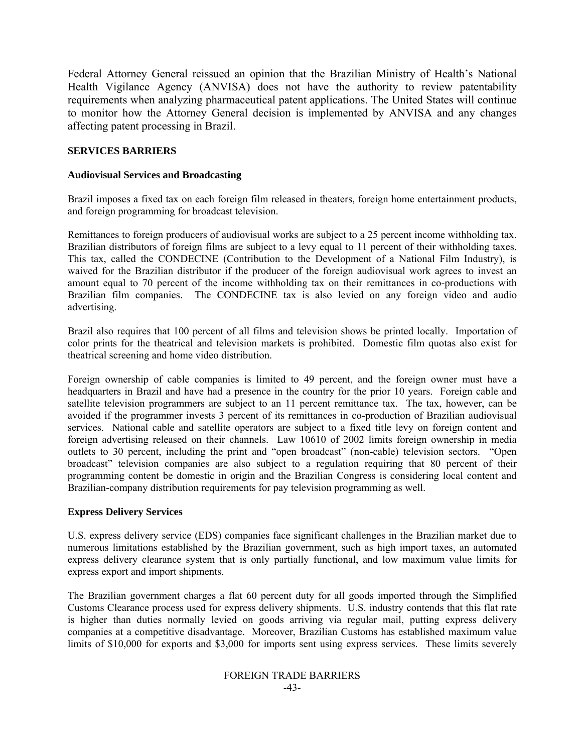Federal Attorney General reissued an opinion that the Brazilian Ministry of Health's National Health Vigilance Agency (ANVISA) does not have the authority to review patentability requirements when analyzing pharmaceutical patent applications. The United States will continue to monitor how the Attorney General decision is implemented by ANVISA and any changes affecting patent processing in Brazil.

## **SERVICES BARRIERS**

#### **Audiovisual Services and Broadcasting**

Brazil imposes a fixed tax on each foreign film released in theaters, foreign home entertainment products, and foreign programming for broadcast television.

Remittances to foreign producers of audiovisual works are subject to a 25 percent income withholding tax. Brazilian distributors of foreign films are subject to a levy equal to 11 percent of their withholding taxes. This tax, called the CONDECINE (Contribution to the Development of a National Film Industry), is waived for the Brazilian distributor if the producer of the foreign audiovisual work agrees to invest an amount equal to 70 percent of the income withholding tax on their remittances in co-productions with Brazilian film companies. The CONDECINE tax is also levied on any foreign video and audio advertising.

Brazil also requires that 100 percent of all films and television shows be printed locally. Importation of color prints for the theatrical and television markets is prohibited. Domestic film quotas also exist for theatrical screening and home video distribution.

Foreign ownership of cable companies is limited to 49 percent, and the foreign owner must have a headquarters in Brazil and have had a presence in the country for the prior 10 years. Foreign cable and satellite television programmers are subject to an 11 percent remittance tax. The tax, however, can be avoided if the programmer invests 3 percent of its remittances in co-production of Brazilian audiovisual services. National cable and satellite operators are subject to a fixed title levy on foreign content and foreign advertising released on their channels. Law 10610 of 2002 limits foreign ownership in media outlets to 30 percent, including the print and "open broadcast" (non-cable) television sectors. "Open broadcast" television companies are also subject to a regulation requiring that 80 percent of their programming content be domestic in origin and the Brazilian Congress is considering local content and Brazilian-company distribution requirements for pay television programming as well.

#### **Express Delivery Services**

U.S. express delivery service (EDS) companies face significant challenges in the Brazilian market due to numerous limitations established by the Brazilian government, such as high import taxes, an automated express delivery clearance system that is only partially functional, and low maximum value limits for express export and import shipments.

The Brazilian government charges a flat 60 percent duty for all goods imported through the Simplified Customs Clearance process used for express delivery shipments. U.S. industry contends that this flat rate is higher than duties normally levied on goods arriving via regular mail, putting express delivery companies at a competitive disadvantage. Moreover, Brazilian Customs has established maximum value limits of \$10,000 for exports and \$3,000 for imports sent using express services. These limits severely

#### FOREIGN TRADE BARRIERS -43-